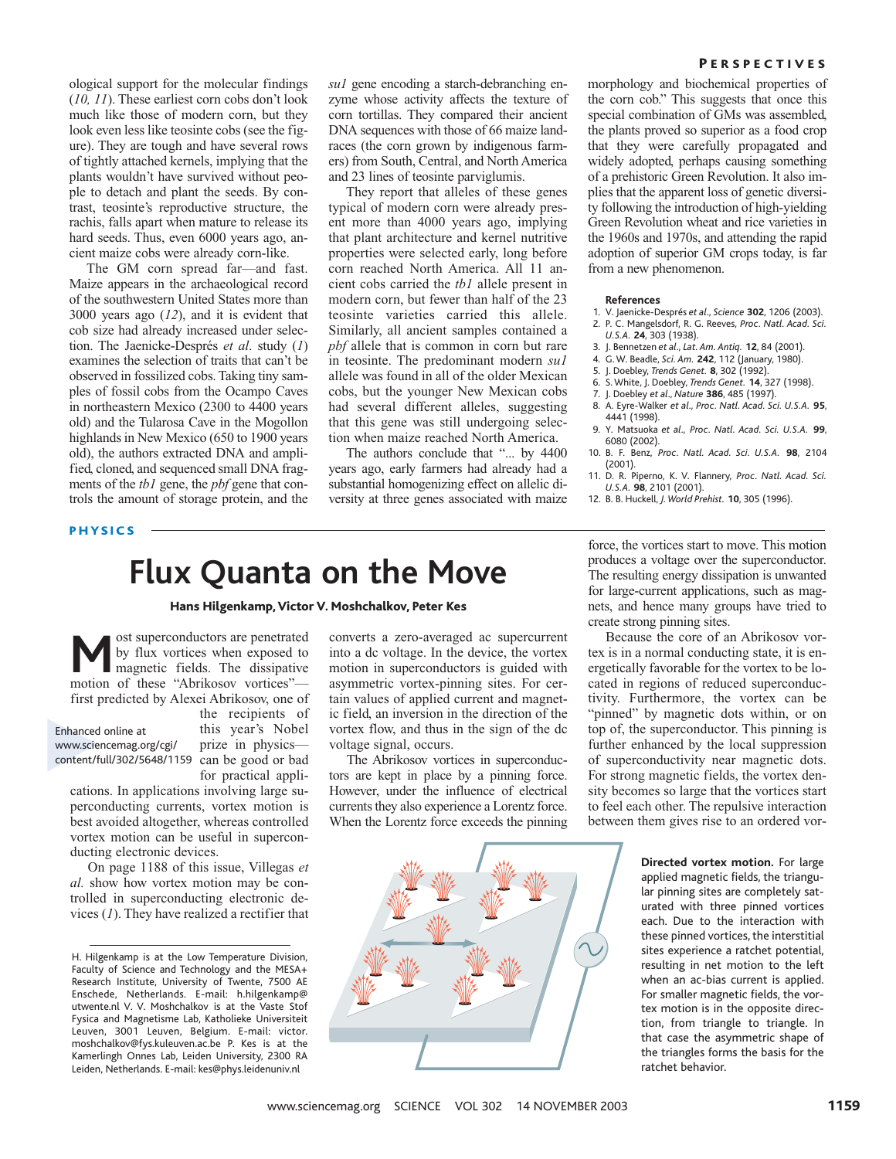ological support for the molecular findings (*10, 11*). These earliest corn cobs don't look much like those of modern corn, but they look even less like teosinte cobs (see the figure). They are tough and have several rows of tightly attached kernels, implying that the plants wouldn't have survived without people to detach and plant the seeds. By contrast, teosinte's reproductive structure, the rachis, falls apart when mature to release its hard seeds. Thus, even 6000 years ago, ancient maize cobs were already corn-like.

The GM corn spread far—and fast. Maize appears in the archaeological record of the southwestern United States more than 3000 years ago (*12*), and it is evident that cob size had already increased under selection. The Jaenicke-Després *et al*. study (*1*) examines the selection of traits that can't be observed in fossilized cobs. Taking tiny samples of fossil cobs from the Ocampo Caves in northeastern Mexico (2300 to 4400 years old) and the Tularosa Cave in the Mogollon highlands in New Mexico (650 to 1900 years old), the authors extracted DNA and amplified, cloned, and sequenced small DNA fragments of the *tb1* gene, the *pbf* gene that controls the amount of storage protein, and the

*su1* gene encoding a starch-debranching enzyme whose activity affects the texture of corn tortillas. They compared their ancient DNA sequences with those of 66 maize landraces (the corn grown by indigenous farmers) from South, Central, and North America and 23 lines of teosinte parviglumis.

They report that alleles of these genes typical of modern corn were already present more than 4000 years ago, implying that plant architecture and kernel nutritive properties were selected early, long before corn reached North America. All 11 ancient cobs carried the *tb1* allele present in modern corn, but fewer than half of the 23 teosinte varieties carried this allele. Similarly, all ancient samples contained a *pbf* allele that is common in corn but rare in teosinte. The predominant modern *su1* allele was found in all of the older Mexican cobs, but the younger New Mexican cobs had several different alleles, suggesting that this gene was still undergoing selection when maize reached North America.

The authors conclude that "... by 4400 years ago, early farmers had already had a substantial homogenizing effect on allelic diversity at three genes associated with maize

morphology and biochemical properties of the corn cob." This suggests that once this special combination of GMs was assembled, the plants proved so superior as a food crop that they were carefully propagated and widely adopted, perhaps causing something of a prehistoric Green Revolution. It also implies that the apparent loss of genetic diversity following the introduction of high-yielding Green Revolution wheat and rice varieties in the 1960s and 1970s, and attending the rapid adoption of superior GM crops today, is far from a new phenomenon.

#### **References**

- 1. V. Jaenicke-Després *et al*., *Science* **302**, 1206 (2003). 2. P. C. Mangelsdorf, R. G. Reeves, *Proc. Natl. Acad. Sci. U.S.A.* **24**, 303 (1938).
- 3. J. Bennetzen *et al*., *Lat. Am. Antiq.* **12**, 84 (2001).
- 4. G. W. Beadle, *Sci. Am.* **242**, 112 (January, 1980).
- 5. J. Doebley, *Trends Genet.* **8**, 302 (1992).
- 6. S. White, J. Doebley, *Trends Genet.* **14**, 327 (1998).
- 7. J. Doebley *et al*., *Nature* **386**, 485 (1997).
- 8. A. Eyre-Walker *et al*., *Proc. Natl. Acad. Sci. U.S.A.* **95**, 4441 (1998).
- 9. Y. Matsuoka *et al*., *Proc. Natl. Acad. Sci. U.S.A.* **99**, 6080 (2002).
- 10. B. F. Benz, *Proc. Natl. Acad. Sci. U.S.A.* **98**, 2104 (2001).
- 11. D. R. Piperno, K. V. Flannery, *Proc. Natl. Acad. Sci. U.S.A.* **98**, 2101 (2001).
- 12. B. B. Huckell, *J. World Prehist.* **10**, 305 (1996).

### PHYSICS

## **Flux Quanta on the Move**

Hans Hilgenkamp, Victor V. Moshchalkov, Peter Kes

**M** ost superconductors are penetrated<br>by flux vortices when exposed to<br>magnetic fields. The dissipative<br>motion of these "Abrikosov vortices" by flux vortices when exposed to magnetic fields. The dissipative motion of these "Abrikosov vortices" first predicted by Alexei Abrikosov, one of the recipients of

#### this year's Nobel prize in physics content/full/302/5648/1159 can be good or bad Enhanced online at www.sciencemag.org/cgi/

for practical appli-

cations. In applications involving large superconducting currents, vortex motion is best avoided altogether, whereas controlled vortex motion can be useful in superconducting electronic devices.

On page 1188 of this issue, Villegas *et al.* show how vortex motion may be controlled in superconducting electronic devices (*1*). They have realized a rectifier that converts a zero-averaged ac supercurrent into a dc voltage. In the device, the vortex motion in superconductors is guided with asymmetric vortex-pinning sites. For certain values of applied current and magnetic field, an inversion in the direction of the vortex flow, and thus in the sign of the dc voltage signal, occurs.

The Abrikosov vortices in superconductors are kept in place by a pinning force. However, under the influence of electrical currents they also experience a Lorentz force. When the Lorentz force exceeds the pinning

force, the vortices start to move. This motion produces a voltage over the superconductor. The resulting energy dissipation is unwanted for large-current applications, such as magnets, and hence many groups have tried to create strong pinning sites.

Because the core of an Abrikosov vortex is in a normal conducting state, it is energetically favorable for the vortex to be located in regions of reduced superconductivity. Furthermore, the vortex can be "pinned" by magnetic dots within, or on top of, the superconductor. This pinning is further enhanced by the local suppression of superconductivity near magnetic dots. For strong magnetic fields, the vortex density becomes so large that the vortices start to feel each other. The repulsive interaction between them gives rise to an ordered vor-

> **Directed vortex motion.** For large applied magnetic fields, the triangular pinning sites are completely saturated with three pinned vortices each. Due to the interaction with these pinned vortices, the interstitial sites experience a ratchet potential, resulting in net motion to the left when an ac-bias current is applied. For smaller magnetic fields, the vortex motion is in the opposite direction, from triangle to triangle. In that case the asymmetric shape of the triangles forms the basis for the ratchet behavior.

H. Hilgenkamp is at the Low Temperature Division, Faculty of Science and Technology and the MESA+ Research Institute, University of Twente, 7500 AE Enschede, Netherlands. E-mail: h.hilgenkamp@ utwente.nl V. V. Moshchalkov is at the Vaste Stof Fysica and Magnetisme Lab, Katholieke Universiteit Leuven, 3001 Leuven, Belgium. E-mail: victor. moshchalkov@fys.kuleuven.ac.be P. Kes is at the Kamerlingh Onnes Lab, Leiden University, 2300 RA Leiden, Netherlands. E-mail: kes@phys.leidenuniv.nl